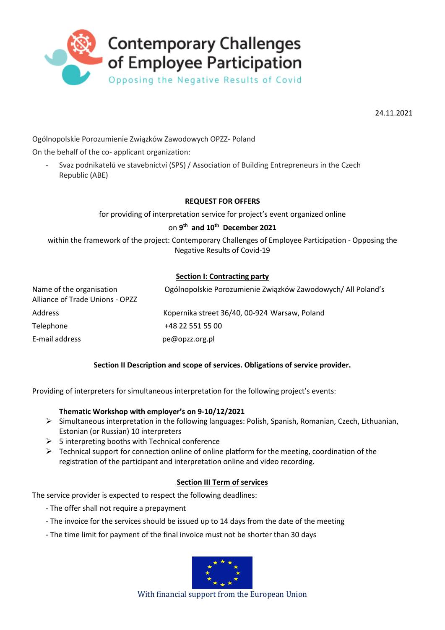

24.11.2021

Ogólnopolskie Porozumienie Związków Zawodowych OPZZ- Poland

On the behalf of the co- applicant organization:

- Svaz podnikatelů ve stavebnictví (SPS) / Association of Building Entrepreneurs in the Czech Republic (ABE)

#### **REQUEST FOR OFFERS**

for providing of interpretation service for project's event organized online

# on **9 th and 10th December 2021**

within the framework of the project: Contemporary Challenges of Employee Participation - Opposing the Negative Results of Covid-19

#### **Section I: Contracting party**

| Name of the organisation<br>Alliance of Trade Unions - OPZZ | Ogólnopolskie Porozumienie Związków Zawodowych/ All Poland's |
|-------------------------------------------------------------|--------------------------------------------------------------|
| Address                                                     | Kopernika street 36/40, 00-924 Warsaw, Poland                |
| Telephone                                                   | +48 22 551 55 00                                             |
| E-mail address                                              | pe@opzz.org.pl                                               |

## **Section II Description and scope of services. Obligations of service provider.**

Providing of interpreters for simultaneous interpretation for the following project's events:

#### **Thematic Workshop with employer's on 9-10/12/2021**

- Simultaneous interpretation in the following languages: Polish, Spanish, Romanian, Czech, Lithuanian, Estonian (or Russian) 10 interpreters
- $\geq$  5 interpreting booths with Technical conference
- $\triangleright$  Technical support for connection online of online platform for the meeting, coordination of the registration of the participant and interpretation online and video recording.

## **Section III Term of services**

The service provider is expected to respect the following deadlines:

- The offer shall not require a prepayment
- The invoice for the services should be issued up to 14 days from the date of the meeting
- The time limit for payment of the final invoice must not be shorter than 30 days



With financial support from the European Union